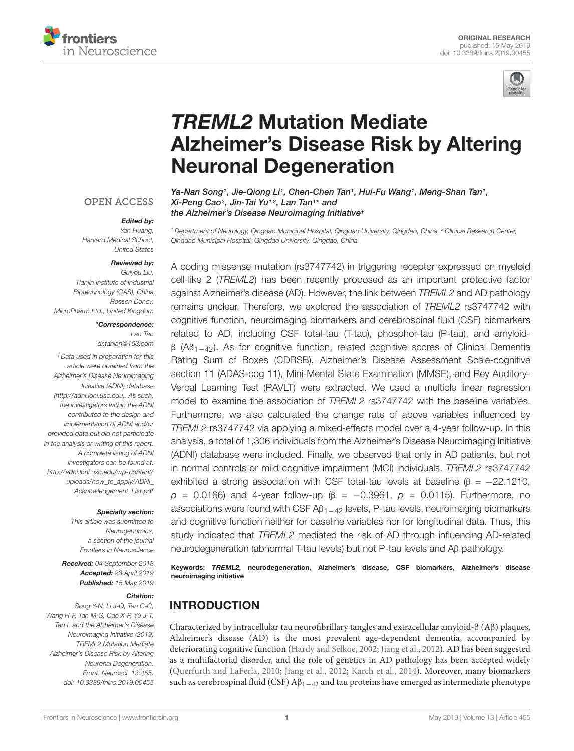



# TREML2 Mutation Mediate [Alzheimer's Disease Risk by Altering](https://www.frontiersin.org/articles/10.3389/fnins.2019.00455/full) Neuronal Degeneration

Ya-Nan Song1, Jie-Qiong Li1, Chen-Chen Tan1, Hui-Fu Wang1, [Meng-Shan Tan](http://loop.frontiersin.org/people/614370/overview)1, Xi-Peng Cao<sup>2</sup> , [Jin-Tai Yu](http://loop.frontiersin.org/people/220891/overview)1,2 , [Lan Tan](http://loop.frontiersin.org/people/609391/overview)<sup>1</sup> \* and the Alzheimer's Disease Neuroimaging Initiative†

<sup>1</sup> Department of Neurology, Qingdao Municipal Hospital, Qingdao University, Qingdao, China, <sup>2</sup> Clinical Research Center, Qingdao Municipal Hospital, Qingdao University, Qingdao, China

A coding missense mutation (rs3747742) in triggering receptor expressed on myeloid cell-like 2 (TREML2) has been recently proposed as an important protective factor against Alzheimer's disease (AD). However, the link between TREML2 and AD pathology remains unclear. Therefore, we explored the association of TREML2 rs3747742 with cognitive function, neuroimaging biomarkers and cerebrospinal fluid (CSF) biomarkers related to AD, including CSF total-tau (T-tau), phosphor-tau (P-tau), and amyloid $β$  (A $β<sub>1−42</sub>$ ). As for cognitive function, related cognitive scores of Clinical Dementia Rating Sum of Boxes (CDRSB), Alzheimer's Disease Assessment Scale-cognitive section 11 (ADAS-cog 11), Mini-Mental State Examination (MMSE), and Rey Auditory-Verbal Learning Test (RAVLT) were extracted. We used a multiple linear regression model to examine the association of TREML2 rs3747742 with the baseline variables. Furthermore, we also calculated the change rate of above variables influenced by TREML2 rs3747742 via applying a mixed-effects model over a 4-year follow-up. In this analysis, a total of 1,306 individuals from the Alzheimer's Disease Neuroimaging Initiative (ADNI) database were included. Finally, we observed that only in AD patients, but not in normal controls or mild cognitive impairment (MCI) individuals, TREML2 rs3747742 exhibited a strong association with CSF total-tau levels at baseline ( $\beta = -22.1210$ ,  $p = 0.0166$ ) and 4-year follow-up ( $\beta = -0.3961$ ,  $p = 0.0115$ ). Furthermore, no associations were found with CSF  $\mathsf{AB}_{1-42}$  levels, P-tau levels, neuroimaging biomarkers and cognitive function neither for baseline variables nor for longitudinal data. Thus, this study indicated that TREML2 mediated the risk of AD through influencing AD-related neurodegeneration (abnormal T-tau levels) but not P-tau levels and Aβ pathology.

Keywords: TREML2, neurodegeneration, Alzheimer's disease, CSF biomarkers, Alzheimer's disease neuroimaging initiative

# INTRODUCTION

Characterized by intracellular tau neurofibrillary tangles and extracellular amyloid-β (Aβ) plaques, Alzheimer's disease (AD) is the most prevalent age-dependent dementia, accompanied by deteriorating cognitive function [\(Hardy and Selkoe,](#page-4-0) [2002;](#page-4-0) [Jiang et al.,](#page-5-0) [2012\)](#page-5-0). AD has been suggested as a multifactorial disorder, and the role of genetics in AD pathology has been accepted widely [\(Querfurth and LaFerla,](#page-5-1) [2010;](#page-5-1) [Jiang et al.,](#page-5-0) [2012;](#page-5-0) [Karch et al.,](#page-5-2) [2014\)](#page-5-2). Moreover, many biomarkers such as cerebrospinal fluid (CSF)  $A\beta_{1-42}$  and tau proteins have emerged as intermediate phenotype

#### **OPEN ACCESS**

#### Edited by:

Yan Huang, Harvard Medical School, United States

#### Reviewed by:

Guiyou Liu, Tianjin Institute of Industrial Biotechnology (CAS), China Rossen Donev, MicroPharm Ltd., United Kingdom

> \*Correspondence: Lan Tan dr.tanlan@163.com

†Data used in preparation for this article were obtained from the Alzheimer's Disease Neuroimaging Initiative (ADNI) database [\(http://adni.loni.usc.edu\)](http://adni.loni.usc.edu). As such, the investigators within the ADNI contributed to the design and implementation of ADNI and/or provided data but did not participate in the analysis or writing of this report. A complete listing of ADNI investigators can be found at: [http://adni.loni.usc.edu/wp-content/](http://adni.loni.usc.edu/wp-content/uploads/how_to_apply/ADNI_Acknowledgement_List.pdf) uploads/how\_to\_apply/ADNI [Acknowledgement\\_List.pdf](http://adni.loni.usc.edu/wp-content/uploads/how_to_apply/ADNI_Acknowledgement_List.pdf)

#### Specialty section:

This article was submitted to Neurogenomics, a section of the journal Frontiers in Neuroscience

Received: 04 September 2018 Accepted: 23 April 2019 Published: 15 May 2019

#### Citation:

Song Y-N, Li J-Q, Tan C-C, Wang H-F, Tan M-S, Cao X-P, Yu J-T, Tan L and the Alzheimer's Disease Neuroimaging Initiative (2019) TREML2 Mutation Mediate Alzheimer's Disease Risk by Altering Neuronal Degeneration. Front. Neurosci. 13:455. doi: [10.3389/fnins.2019.00455](https://doi.org/10.3389/fnins.2019.00455)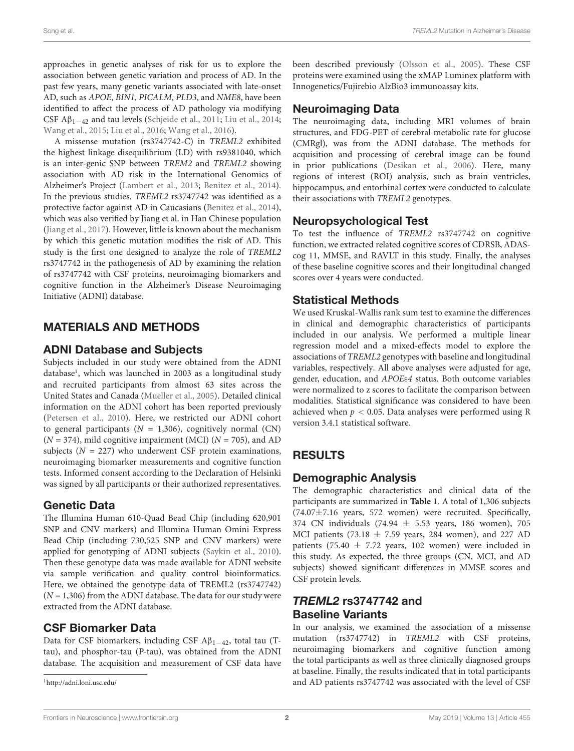approaches in genetic analyses of risk for us to explore the association between genetic variation and process of AD. In the past few years, many genetic variants associated with late-onset AD, such as APOE, BIN1, PICALM, PLD3, and NME8, have been identified to affect the process of AD pathology via modifying CSF Aβ1−<sup>42</sup> and tau levels [\(Schjeide et al.,](#page-5-3) [2011;](#page-5-3) [Liu et al.,](#page-5-4) [2014;](#page-5-4) [Wang et al.,](#page-5-5) [2015;](#page-5-5) [Liu et al.,](#page-5-6) [2016;](#page-5-6) [Wang et al.,](#page-5-7) [2016\)](#page-5-7).

A missense mutation (rs3747742-C) in TREML2 exhibited the highest linkage disequilibrium (LD) with rs9381040, which is an inter-genic SNP between TREM2 and TREML2 showing association with AD risk in the International Genomics of Alzheimer's Project [\(Lambert et al.,](#page-5-8) [2013;](#page-5-8) [Benitez et al.,](#page-4-1) [2014\)](#page-4-1). In the previous studies, TREML2 rs3747742 was identified as a protective factor against AD in Caucasians [\(Benitez et al.,](#page-4-1) [2014\)](#page-4-1), which was also verified by Jiang et al. in Han Chinese population [\(Jiang et al.,](#page-5-9) [2017\)](#page-5-9). However, little is known about the mechanism by which this genetic mutation modifies the risk of AD. This study is the first one designed to analyze the role of TREML2 rs3747742 in the pathogenesis of AD by examining the relation of rs3747742 with CSF proteins, neuroimaging biomarkers and cognitive function in the Alzheimer's Disease Neuroimaging Initiative (ADNI) database.

# MATERIALS AND METHODS

# ADNI Database and Subjects

Subjects included in our study were obtained from the ADNI database<sup>[1](#page-1-0)</sup>, which was launched in 2003 as a longitudinal study and recruited participants from almost 63 sites across the United States and Canada [\(Mueller et al.,](#page-5-10) [2005\)](#page-5-10). Detailed clinical information on the ADNI cohort has been reported previously [\(Petersen et al.,](#page-5-11) [2010\)](#page-5-11). Here, we restricted our ADNI cohort to general participants ( $N = 1,306$ ), cognitively normal (CN)  $(N = 374)$ , mild cognitive impairment (MCI)  $(N = 705)$ , and AD subjects ( $N = 227$ ) who underwent CSF protein examinations, neuroimaging biomarker measurements and cognitive function tests. Informed consent according to the Declaration of Helsinki was signed by all participants or their authorized representatives.

# Genetic Data

The Illumina Human 610-Quad Bead Chip (including 620,901 SNP and CNV markers) and Illumina Human Omini Express Bead Chip (including 730,525 SNP and CNV markers) were applied for genotyping of ADNI subjects [\(Saykin et al.,](#page-5-12) [2010\)](#page-5-12). Then these genotype data was made available for ADNI website via sample verification and quality control bioinformatics. Here, we obtained the genotype data of TREML2 (rs3747742)  $(N = 1,306)$  from the ADNI database. The data for our study were extracted from the ADNI database.

# CSF Biomarker Data

Data for CSF biomarkers, including CSF Aβ1−42, total tau (Ttau), and phosphor-tau (P-tau), was obtained from the ADNI database. The acquisition and measurement of CSF data have

<span id="page-1-0"></span><sup>1</sup><http://adni.loni.usc.edu/>

been described previously [\(Olsson et al.,](#page-5-13) [2005\)](#page-5-13). These CSF proteins were examined using the xMAP Luminex platform with Innogenetics/Fujirebio AlzBio3 immunoassay kits.

# Neuroimaging Data

The neuroimaging data, including MRI volumes of brain structures, and FDG-PET of cerebral metabolic rate for glucose (CMRgl), was from the ADNI database. The methods for acquisition and processing of cerebral image can be found in prior publications [\(Desikan et al.,](#page-4-2) [2006\)](#page-4-2). Here, many regions of interest (ROI) analysis, such as brain ventricles, hippocampus, and entorhinal cortex were conducted to calculate their associations with TREML2 genotypes.

## Neuropsychological Test

To test the influence of TREML2 rs3747742 on cognitive function, we extracted related cognitive scores of CDRSB, ADAScog 11, MMSE, and RAVLT in this study. Finally, the analyses of these baseline cognitive scores and their longitudinal changed scores over 4 years were conducted.

# Statistical Methods

We used Kruskal-Wallis rank sum test to examine the differences in clinical and demographic characteristics of participants included in our analysis. We performed a multiple linear regression model and a mixed-effects model to explore the associations of TREML2 genotypes with baseline and longitudinal variables, respectively. All above analyses were adjusted for age, gender, education, and APOEε4 status. Both outcome variables were normalized to z scores to facilitate the comparison between modalities. Statistical significance was considered to have been achieved when  $p < 0.05$ . Data analyses were performed using R version 3.4.1 statistical software.

# RESULTS

# Demographic Analysis

The demographic characteristics and clinical data of the participants are summarized in **[Table 1](#page-2-0)**. A total of 1,306 subjects (74.07±7.16 years, 572 women) were recruited. Specifically, 374 CN individuals (74.94 ± 5.53 years, 186 women), 705 MCI patients (73.18  $\pm$  7.59 years, 284 women), and 227 AD patients (75.40  $\pm$  7.72 years, 102 women) were included in this study. As expected, the three groups (CN, MCI, and AD subjects) showed significant differences in MMSE scores and CSF protein levels.

# TREML2 rs3747742 and Baseline Variants

In our analysis, we examined the association of a missense mutation (rs3747742) in TREML2 with CSF proteins, neuroimaging biomarkers and cognitive function among the total participants as well as three clinically diagnosed groups at baseline. Finally, the results indicated that in total participants and AD patients rs3747742 was associated with the level of CSF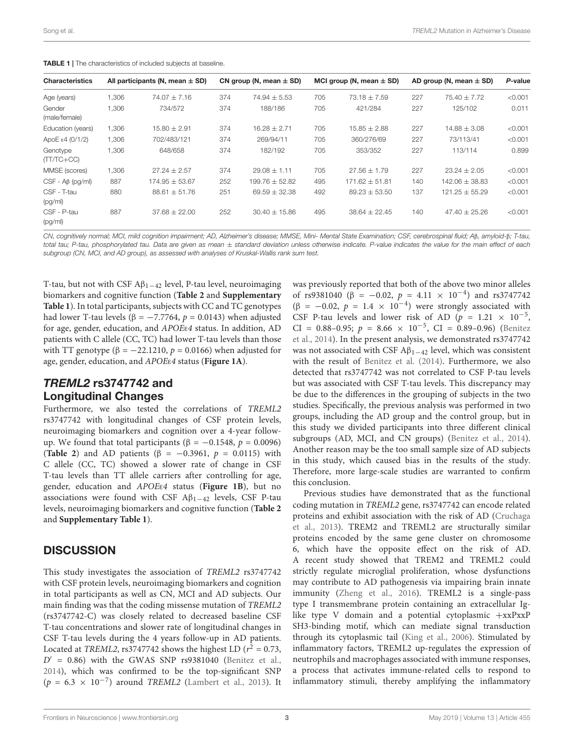| <b>Characteristics</b><br>Age (years) | All participants (N, mean $\pm$ SD) |                    | CN group (N, mean $\pm$ SD) |                    | MCI group (N, mean $\pm$ SD) |                    | AD group (N, mean $\pm$ SD) |                    | P-value |
|---------------------------------------|-------------------------------------|--------------------|-----------------------------|--------------------|------------------------------|--------------------|-----------------------------|--------------------|---------|
|                                       | 1,306                               | $74.07 \pm 7.16$   | 374                         | $74.94 + 5.53$     | 705                          | $73.18 \pm 7.59$   | 227                         | $75.40 + 7.72$     | < 0.001 |
| Gender<br>(male/female)               | 1,306                               | 734/572            | 374                         | 188/186            | 705                          | 421/284            | 227                         | 125/102            | 0.011   |
| Education (years)                     | 1,306                               | $15.80 \pm 2.91$   | 374                         | $16.28 \pm 2.71$   | 705                          | $15.85 \pm 2.88$   | 227                         | $14.88 \pm 3.08$   | < 0.001 |
| ApoE ε4 (0/1/2)                       | 1,306                               | 702/483/121        | 374                         | 269/94/11          | 705                          | 360/276/69         | 227                         | 73/113/41          | < 0.001 |
| Genotype<br>$(TT/TC+CC)$              | 1,306                               | 648/658            | 374                         | 182/192            | 705                          | 353/352            | 227                         | 113/114            | 0.899   |
| MMSE (scores)                         | 1,306                               | $27.24 \pm 2.57$   | 374                         | $29.08 \pm 1.11$   | 705                          | $27.56 \pm 1.79$   | 227                         | $23.24 \pm 2.05$   | < 0.001 |
| $CSF - AB (pg/ml)$                    | 887                                 | $174.95 \pm 53.67$ | 252                         | $199.76 \pm 52.82$ | 495                          | $171.62 \pm 51.81$ | 140                         | $142.06 \pm 38.83$ | < 0.001 |
| CSF - T-tau<br>(pg/ml)                | 880                                 | $88.61 \pm 51.76$  | 251                         | $69.59 \pm 32.38$  | 492                          | $89.23 \pm 53.50$  | 137                         | $121.25 \pm 55.29$ | < 0.001 |
| CSF - P-tau<br>(pg/ml)                | 887                                 | $37.68 \pm 22.00$  | 252                         | $30.40 \pm 15.86$  | 495                          | $38.64 \pm 22.45$  | 140                         | $47.40 \pm 25.26$  | < 0.001 |

<span id="page-2-0"></span>TABLE 1 | The characteristics of included subjects at baseline.

CN, cognitively normal; MCI, mild cognition impairment; AD, Alzheimer's disease; MMSE, Mini- Mental State Examination; CSF, cerebrospinal fluid; Aβ, amyloid-β; T-tau, total tau; P-tau, phosphorylated tau. Data are given as mean ± standard deviation unless otherwise indicate. P-value indicates the value for the main effect of each subgroup (CN, MCI, and AD group), as assessed with analyses of Kruskal-Wallis rank sum test.

T-tau, but not with CSF  $A\beta_{1-42}$  level, P-tau level, neuroimaging biomarkers and cognitive function (**[Table 2](#page-3-0)** and **[Supplementary](#page-4-3) [Table 1](#page-4-3)**). In total participants, subjects with CC and TC genotypes had lower T-tau levels ( $\beta = -7.7764$ ,  $p = 0.0143$ ) when adjusted for age, gender, education, and APOEε4 status. In addition, AD patients with C allele (CC, TC) had lower T-tau levels than those with TT genotype ( $\beta = -22.1210$ ,  $p = 0.0166$ ) when adjusted for age, gender, education, and APOEε4 status (**[Figure 1A](#page-3-1)**).

# TREML2 rs3747742 and Longitudinal Changes

Furthermore, we also tested the correlations of TREML2 rs3747742 with longitudinal changes of CSF protein levels, neuroimaging biomarkers and cognition over a 4-year followup. We found that total participants ( $\beta = -0.1548$ ,  $p = 0.0096$ ) (**[Table 2](#page-3-0)**) and AD patients ( $\beta$  = −0.3961, p = 0.0115) with C allele (CC, TC) showed a slower rate of change in CSF T-tau levels than TT allele carriers after controlling for age, gender, education and APOEε4 status (**[Figure 1B](#page-3-1)**), but no associations were found with CSF  $A\beta_{1-42}$  levels, CSF P-tau levels, neuroimaging biomarkers and cognitive function (**[Table 2](#page-3-0)** and **[Supplementary Table 1](#page-4-3)**).

# **DISCUSSION**

This study investigates the association of TREML2 rs3747742 with CSF protein levels, neuroimaging biomarkers and cognition in total participants as well as CN, MCI and AD subjects. Our main finding was that the coding missense mutation of TREML2 (rs3747742-C) was closely related to decreased baseline CSF T-tau concentrations and slower rate of longitudinal changes in CSF T-tau levels during the 4 years follow-up in AD patients. Located at *TREML2*, rs3747742 shows the highest LD ( $r^2 = 0.73$ ,  $D' = 0.86$ ) with the GWAS SNP rs9381040 [\(Benitez et al.,](#page-4-1) [2014\)](#page-4-1), which was confirmed to be the top-significant SNP  $(p = 6.3 \times 10^{-7})$  around TREML2 [\(Lambert et al.,](#page-5-8) [2013\)](#page-5-8). It

was previously reported that both of the above two minor alleles of rs9381040 (β = -0.02,  $p = 4.11 \times 10^{-4}$ ) and rs3747742 (β = -0.02,  $p = 1.4 \times 10^{-4}$ ) were strongly associated with CSF P-tau levels and lower risk of AD ( $p = 1.21 \times 10^{-5}$ , CI = 0.88-0.95;  $p = 8.66 \times 10^{-5}$ , CI = 0.89-0.96) [\(Benitez](#page-4-1) [et al.,](#page-4-1) [2014\)](#page-4-1). In the present analysis, we demonstrated rs3747742 was not associated with CSF  $\mathbf{AB}_{1-42}$  level, which was consistent with the result of [Benitez et al.](#page-4-1) [\(2014\)](#page-4-1). Furthermore, we also detected that rs3747742 was not correlated to CSF P-tau levels but was associated with CSF T-tau levels. This discrepancy may be due to the differences in the grouping of subjects in the two studies. Specifically, the previous analysis was performed in two groups, including the AD group and the control group, but in this study we divided participants into three different clinical subgroups (AD, MCI, and CN groups) [\(Benitez et al.,](#page-4-1) [2014\)](#page-4-1). Another reason may be the too small sample size of AD subjects in this study, which caused bias in the results of the study. Therefore, more large-scale studies are warranted to confirm this conclusion.

Previous studies have demonstrated that as the functional coding mutation in TREML2 gene, rs3747742 can encode related proteins and exhibit association with the risk of AD [\(Cruchaga](#page-4-4) [et al.,](#page-4-4) [2013\)](#page-4-4). TREM2 and TREML2 are structurally similar proteins encoded by the same gene cluster on chromosome 6, which have the opposite effect on the risk of AD. A recent study showed that TREM2 and TREML2 could strictly regulate microglial proliferation, whose dysfunctions may contribute to AD pathogenesis via impairing brain innate immunity [\(Zheng et al.,](#page-5-14) [2016\)](#page-5-14). TREML2 is a single-pass type I transmembrane protein containing an extracellular Iglike type V domain and a potential cytoplasmic +xxPxxP SH3-binding motif, which can mediate signal transduction through its cytoplasmic tail [\(King et al.,](#page-5-15) [2006\)](#page-5-15). Stimulated by inflammatory factors, TREML2 up-regulates the expression of neutrophils and macrophages associated with immune responses, a process that activates immune-related cells to respond to inflammatory stimuli, thereby amplifying the inflammatory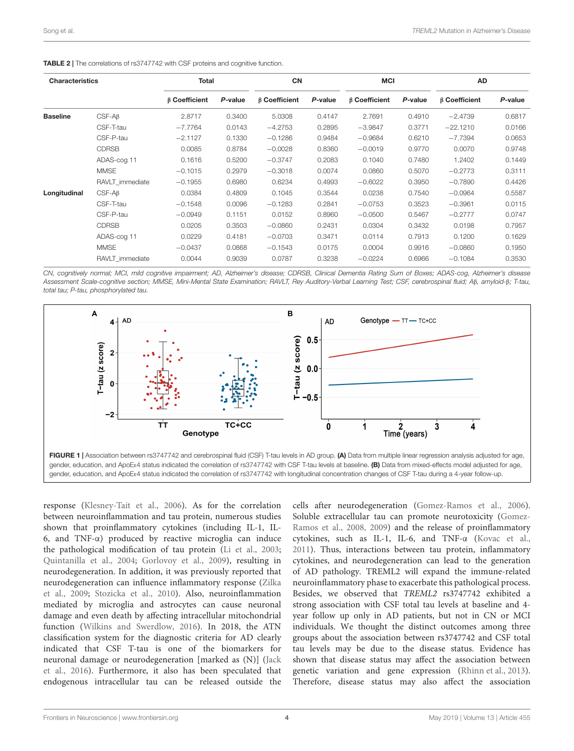<span id="page-3-0"></span>TABLE 2 | The correlations of rs3747742 with CSF proteins and cognitive function.

| <b>Characteristics</b> |                 | <b>Total</b>         |         | CN                   |         | <b>MCI</b>           |         | AD                   |         |
|------------------------|-----------------|----------------------|---------|----------------------|---------|----------------------|---------|----------------------|---------|
|                        |                 | <b>B</b> Coefficient | P-value | <b>B</b> Coefficient | P-value | <b>B</b> Coefficient | P-value | <b>B</b> Coefficient | P-value |
| <b>Baseline</b>        | $CSF-AB$        | 2.8717               | 0.3400  | 5.0308               | 0.4147  | 2.7691               | 0.4910  | $-2.4739$            | 0.6817  |
|                        | CSF-T-tau       | $-7.7764$            | 0.0143  | $-4.2753$            | 0.2895  | $-3.9847$            | 0.3771  | $-22.1210$           | 0.0166  |
|                        | CSF-P-tau       | $-2.1127$            | 0.1330  | $-0.1286$            | 0.9484  | $-0.9684$            | 0.6210  | $-7.7394$            | 0.0653  |
|                        | <b>CDRSB</b>    | 0.0085               | 0.8784  | $-0.0028$            | 0.8360  | $-0.0019$            | 0.9770  | 0.0070               | 0.9748  |
|                        | ADAS-cog 11     | 0.1616               | 0.5200  | $-0.3747$            | 0.2083  | 0.1040               | 0.7480  | 1.2402               | 0.1449  |
|                        | <b>MMSE</b>     | $-0.1015$            | 0.2979  | $-0.3018$            | 0.0074  | 0.0860               | 0.5070  | $-0.2773$            | 0.3111  |
|                        | RAVLT immediate | $-0.1955$            | 0.6980  | 0.6234               | 0.4993  | $-0.6022$            | 0.3950  | $-0.7890$            | 0.4426  |
| Longitudinal           | $CSF-AB$        | 0.0384               | 0.4809  | 0.1045               | 0.3544  | 0.0238               | 0.7540  | $-0.0964$            | 0.5587  |
|                        | CSF-T-tau       | $-0.1548$            | 0.0096  | $-0.1283$            | 0.2841  | $-0.0753$            | 0.3523  | $-0.3961$            | 0.0115  |
|                        | CSF-P-tau       | $-0.0949$            | 0.1151  | 0.0152               | 0.8960  | $-0.0500$            | 0.5467  | $-0.2777$            | 0.0747  |
|                        | <b>CDRSB</b>    | 0.0205               | 0.3503  | $-0.0860$            | 0.2431  | 0.0304               | 0.3432  | 0.0198               | 0.7957  |
|                        | ADAS-cog 11     | 0.0229               | 0.4181  | $-0.0703$            | 0.3471  | 0.0114               | 0.7913  | 0.1200               | 0.1629  |
|                        | <b>MMSE</b>     | $-0.0437$            | 0.0868  | $-0.1543$            | 0.0175  | 0.0004               | 0.9916  | $-0.0860$            | 0.1950  |
|                        | RAVLT immediate | 0.0044               | 0.9039  | 0.0787               | 0.3238  | $-0.0224$            | 0.6966  | $-0.1084$            | 0.3530  |

CN, cognitively normal; MCI, mild cognitive impairment; AD, Alzheimer's disease; CDRSB, Clinical Dementia Rating Sum of Boxes; ADAS-cog, Alzheimer's disease Assessment Scale-cognitive section; MMSE, Mini-Mental State Examination; RAVLT, Rey Auditory-Verbal Learning Test; CSF, cerebrospinal fluid; Aβ, amyloid-β; T-tau, total tau; P-tau, phosphorylated tau.



<span id="page-3-1"></span>gender, education, and ApoEε4 status indicated the correlation of rs3747742 with longitudinal concentration changes of CSF T-tau during a 4-year follow-up.

response [\(Klesney-Tait et al.,](#page-5-16) [2006\)](#page-5-16). As for the correlation between neuroinflammation and tau protein, numerous studies shown that proinflammatory cytokines (including IL-1, IL-6, and TNF-α) produced by reactive microglia can induce the pathological modification of tau protein [\(Li et al.,](#page-5-17) [2003;](#page-5-17) [Quintanilla et al.,](#page-5-18) [2004;](#page-5-18) [Gorlovoy et al.,](#page-4-5) [2009\)](#page-4-5), resulting in neurodegeneration. In addition, it was previously reported that neurodegeneration can influence inflammatory response [\(Zilka](#page-5-19) [et al.,](#page-5-19) [2009;](#page-5-19) [Stozicka et al.,](#page-5-20) [2010\)](#page-5-20). Also, neuroinflammation mediated by microglia and astrocytes can cause neuronal damage and even death by affecting intracellular mitochondrial function [\(Wilkins and Swerdlow,](#page-5-21) [2016\)](#page-5-21). In 2018, the ATN classification system for the diagnostic criteria for AD clearly indicated that CSF T-tau is one of the biomarkers for neuronal damage or neurodegeneration [marked as (N)] [\(Jack](#page-4-6) [et al.,](#page-4-6) [2016\)](#page-4-6). Furthermore, it also has been speculated that endogenous intracellular tau can be released outside the

cells after neurodegeneration [\(Gomez-Ramos et al.,](#page-4-7) [2006\)](#page-4-7). Soluble extracellular tau can promote neurotoxicity [\(Gomez-](#page-4-8)[Ramos et al.,](#page-4-8) [2008,](#page-4-8) [2009\)](#page-4-9) and the release of proinflammatory cytokines, such as IL-1, IL-6, and TNF-α [\(Kovac et al.,](#page-5-22) [2011\)](#page-5-22). Thus, interactions between tau protein, inflammatory cytokines, and neurodegeneration can lead to the generation of AD pathology. TREML2 will expand the immune-related neuroinflammatory phase to exacerbate this pathological process. Besides, we observed that TREML2 rs3747742 exhibited a strong association with CSF total tau levels at baseline and 4 year follow up only in AD patients, but not in CN or MCI individuals. We thought the distinct outcomes among three groups about the association between rs3747742 and CSF total tau levels may be due to the disease status. Evidence has shown that disease status may affect the association between genetic variation and gene expression [\(Rhinn et al.,](#page-5-23) [2013\)](#page-5-23). Therefore, disease status may also affect the association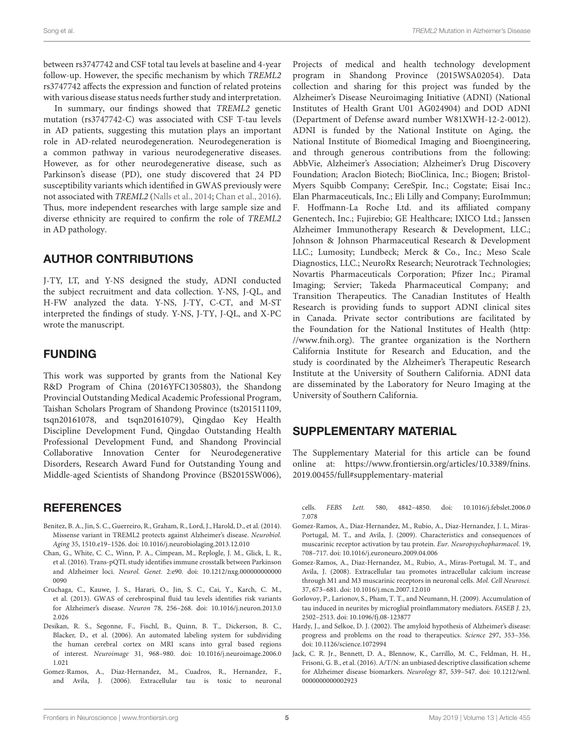between rs3747742 and CSF total tau levels at baseline and 4-year follow-up. However, the specific mechanism by which TREML2 rs3747742 affects the expression and function of related proteins with various disease status needs further study and interpretation.

In summary, our findings showed that TREML2 genetic mutation (rs3747742-C) was associated with CSF T-tau levels in AD patients, suggesting this mutation plays an important role in AD-related neurodegeneration. Neurodegeneration is a common pathway in various neurodegenerative diseases. However, as for other neurodegenerative disease, such as Parkinson's disease (PD), one study discovered that 24 PD susceptibility variants which identified in GWAS previously were not associated with TREML2 [\(Nalls et al.,](#page-5-24) [2014;](#page-5-24) [Chan et al.,](#page-4-10) [2016\)](#page-4-10). Thus, more independent researches with large sample size and diverse ethnicity are required to confirm the role of TREML2 in AD pathology.

## AUTHOR CONTRIBUTIONS

J-TY, LT, and Y-NS designed the study, ADNI conducted the subject recruitment and data collection. Y-NS, J-QL, and H-FW analyzed the data. Y-NS, J-TY, C-CT, and M-ST interpreted the findings of study. Y-NS, J-TY, J-QL, and X-PC wrote the manuscript.

## FUNDING

This work was supported by grants from the National Key R&D Program of China (2016YFC1305803), the Shandong Provincial Outstanding Medical Academic Professional Program, Taishan Scholars Program of Shandong Province (ts201511109, tsqn20161078, and tsqn20161079), Qingdao Key Health Discipline Development Fund, Qingdao Outstanding Health Professional Development Fund, and Shandong Provincial Collaborative Innovation Center for Neurodegenerative Disorders, Research Award Fund for Outstanding Young and Middle-aged Scientists of Shandong Province (BS2015SW006),

## **REFERENCES**

- <span id="page-4-1"></span>Benitez, B. A., Jin, S. C., Guerreiro, R., Graham, R., Lord, J., Harold, D., et al. (2014). Missense variant in TREML2 protects against Alzheimer's disease. Neurobiol. Aging 35, 1510.e19–1526. [doi: 10.1016/j.neurobiolaging.2013.12.010](https://doi.org/10.1016/j.neurobiolaging.2013.12.010)
- <span id="page-4-10"></span>Chan, G., White, C. C., Winn, P. A., Cimpean, M., Replogle, J. M., Glick, L. R., et al. (2016). Trans-pQTL study identifies immune crosstalk between Parkinson and Alzheimer loci. Neurol. Genet. 2:e90. [doi: 10.1212/nxg.000000000000](https://doi.org/10.1212/nxg.0000000000000090) [0090](https://doi.org/10.1212/nxg.0000000000000090)
- <span id="page-4-4"></span>Cruchaga, C., Kauwe, J. S., Harari, O., Jin, S. C., Cai, Y., Karch, C. M., et al. (2013). GWAS of cerebrospinal fluid tau levels identifies risk variants for Alzheimer's disease. Neuron 78, 256–268. [doi: 10.1016/j.neuron.2013.0](https://doi.org/10.1016/j.neuron.2013.02.026) [2.026](https://doi.org/10.1016/j.neuron.2013.02.026)
- <span id="page-4-2"></span>Desikan, R. S., Segonne, F., Fischl, B., Quinn, B. T., Dickerson, B. C., Blacker, D., et al. (2006). An automated labeling system for subdividing the human cerebral cortex on MRI scans into gyral based regions of interest. Neuroimage 31, 968–980. [doi: 10.1016/j.neuroimage.2006.0](https://doi.org/10.1016/j.neuroimage.2006.01.021) [1.021](https://doi.org/10.1016/j.neuroimage.2006.01.021)
- <span id="page-4-7"></span>Gomez-Ramos, A., Diaz-Hernandez, M., Cuadros, R., Hernandez, F., and Avila, J. (2006). Extracellular tau is toxic to neuronal

Projects of medical and health technology development program in Shandong Province (2015WSA02054). Data collection and sharing for this project was funded by the Alzheimer's Disease Neuroimaging Initiative (ADNI) (National Institutes of Health Grant U01 AG024904) and DOD ADNI (Department of Defense award number W81XWH-12-2-0012). ADNI is funded by the National Institute on Aging, the National Institute of Biomedical Imaging and Bioengineering, and through generous contributions from the following: AbbVie, Alzheimer's Association; Alzheimer's Drug Discovery Foundation; Araclon Biotech; BioClinica, Inc.; Biogen; Bristol-Myers Squibb Company; CereSpir, Inc.; Cogstate; Eisai Inc.; Elan Pharmaceuticals, Inc.; Eli Lilly and Company; EuroImmun; F. Hoffmann-La Roche Ltd. and its affiliated company Genentech, Inc.; Fujirebio; GE Healthcare; IXICO Ltd.; Janssen Alzheimer Immunotherapy Research & Development, LLC.; Johnson & Johnson Pharmaceutical Research & Development LLC.; Lumosity; Lundbeck; Merck & Co., Inc.; Meso Scale Diagnostics, LLC.; NeuroRx Research; Neurotrack Technologies; Novartis Pharmaceuticals Corporation; Pfizer Inc.; Piramal Imaging; Servier; Takeda Pharmaceutical Company; and Transition Therapeutics. The Canadian Institutes of Health Research is providing funds to support ADNI clinical sites in Canada. Private sector contributions are facilitated by the Foundation for the National Institutes of Health [\(http:](http://www.fnih.org) [//www.fnih.org\)](http://www.fnih.org). The grantee organization is the Northern California Institute for Research and Education, and the study is coordinated by the Alzheimer's Therapeutic Research Institute at the University of Southern California. ADNI data are disseminated by the Laboratory for Neuro Imaging at the University of Southern California.

#### <span id="page-4-3"></span>SUPPLEMENTARY MATERIAL

The Supplementary Material for this article can be found online at: [https://www.frontiersin.org/articles/10.3389/fnins.](https://www.frontiersin.org/articles/10.3389/fnins.2019.00455/full#supplementary-material) [2019.00455/full#supplementary-material](https://www.frontiersin.org/articles/10.3389/fnins.2019.00455/full#supplementary-material)

cells. FEBS Lett. 580, 4842–4850. [doi: 10.1016/j.febslet.2006.0](https://doi.org/10.1016/j.febslet.2006.07.078) [7.078](https://doi.org/10.1016/j.febslet.2006.07.078)

- <span id="page-4-9"></span>Gomez-Ramos, A., Diaz-Hernandez, M., Rubio, A., Diaz-Hernandez, J. I., Miras-Portugal, M. T., and Avila, J. (2009). Characteristics and consequences of muscarinic receptor activation by tau protein. Eur. Neuropsychopharmacol. 19, 708–717. [doi: 10.1016/j.euroneuro.2009.04.006](https://doi.org/10.1016/j.euroneuro.2009.04.006)
- <span id="page-4-8"></span>Gomez-Ramos, A., Diaz-Hernandez, M., Rubio, A., Miras-Portugal, M. T., and Avila, J. (2008). Extracellular tau promotes intracellular calcium increase through M1 and M3 muscarinic receptors in neuronal cells. Mol. Cell Neurosci. 37, 673–681. [doi: 10.1016/j.mcn.2007.12.010](https://doi.org/10.1016/j.mcn.2007.12.010)
- <span id="page-4-5"></span>Gorlovoy, P., Larionov, S., Pham, T. T., and Neumann, H. (2009). Accumulation of tau induced in neurites by microglial proinflammatory mediators. FASEB J. 23, 2502–2513. [doi: 10.1096/fj.08-123877](https://doi.org/10.1096/fj.08-123877)
- <span id="page-4-0"></span>Hardy, J., and Selkoe, D. J. (2002). The amyloid hypothesis of Alzheimer's disease: progress and problems on the road to therapeutics. Science 297, 353–356. [doi: 10.1126/science.1072994](https://doi.org/10.1126/science.1072994)
- <span id="page-4-6"></span>Jack, C. R. Jr., Bennett, D. A., Blennow, K., Carrillo, M. C., Feldman, H. H., Frisoni, G. B., et al. (2016). A/T/N: an unbiased descriptive classification scheme for Alzheimer disease biomarkers. Neurology 87, 539–547. [doi: 10.1212/wnl.](https://doi.org/10.1212/wnl.0000000000002923) [0000000000002923](https://doi.org/10.1212/wnl.0000000000002923)